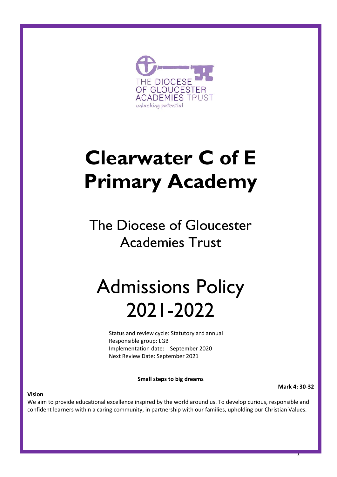

# **Clearwater C of E Primary Academy**

The Diocese of Gloucester Academies Trust

## Admissions Policy 2021-2022

Status and review cycle: Statutory and annual Responsible group: LGB Implementation date: September 2020 Next Review Date: September 2021

**Small steps to big dreams**

**Mark 4: 30-32**

1

#### **Vision**

We aim to provide educational excellence inspired by the world around us. To develop curious, responsible and confident learners within a caring community, in partnership with our families, upholding our Christian Values.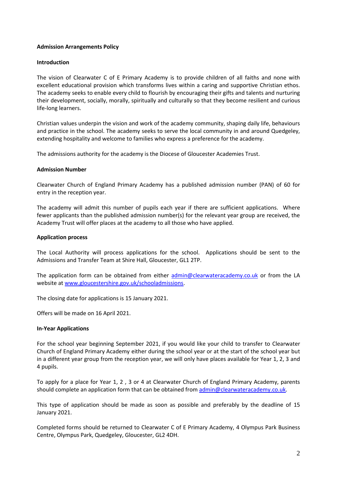## **Admission Arrangements Policy**

### **Introduction**

The vision of Clearwater C of E Primary Academy is to provide children of all faiths and none with excellent educational provision which transforms lives within a caring and supportive Christian ethos. The academy seeks to enable every child to flourish by encouraging their gifts and talents and nurturing their development, socially, morally, spiritually and culturally so that they become resilient and curious life-long learners.

Christian values underpin the vision and work of the academy community, shaping daily life, behaviours and practice in the school. The academy seeks to serve the local community in and around Quedgeley, extending hospitality and welcome to families who express a preference for the academy.

The admissions authority for the academy is the Diocese of Gloucester Academies Trust.

### **Admission Number**

Clearwater Church of England Primary Academy has a published admission number (PAN) of 60 for entry in the reception year.

The academy will admit this number of pupils each year if there are sufficient applications. Where fewer applicants than the published admission number(s) for the relevant year group are received, the Academy Trust will offer places at the academy to all those who have applied.

## **Application process**

The Local Authority will process applications for the school. Applications should be sent to the Admissions and Transfer Team at Shire Hall, Gloucester, GL1 2TP.

The application form can be obtained from either [admin@clearwateracademy.co.uk](mailto:admin@clearwateracademy.co.uk) or from the LA website at [www.gloucestershire.gov.uk/schooladmissions.](http://www.gloucestershire.gov.uk/schooladmissions)

The closing date for applications is 15 January 2021.

Offers will be made on 16 April 2021.

### **In-Year Applications**

For the school year beginning September 2021, if you would like your child to transfer to Clearwater Church of England Primary Academy either during the school year or at the start of the school year but in a different year group from the reception year, we will only have places available for Year 1, 2, 3 and 4 pupils.

To apply for a place for Year 1, 2 , 3 or 4 at Clearwater Church of England Primary Academy, parents should complete an application form that can be obtained from [admin@clearwateracademy.co.uk.](mailto:admin@clearwateracademy.co.uk)

This type of application should be made as soon as possible and preferably by the deadline of 15 January 2021.

Completed forms should be returned to Clearwater C of E Primary Academy, 4 Olympus Park Business Centre, Olympus Park, Quedgeley, Gloucester, GL2 4DH.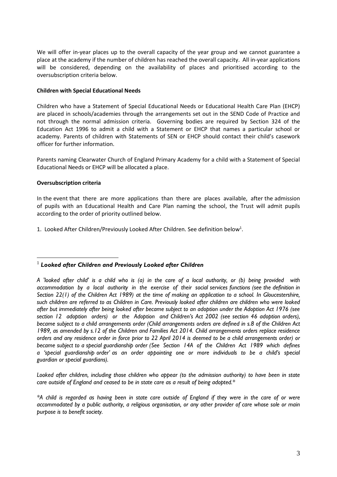We will offer in-year places up to the overall capacity of the year group and we cannot guarantee a place at the academy if the number of children has reached the overall capacity. All in-year applications will be considered, depending on the availability of places and prioritised according to the oversubscription criteria below.

## **Children with Special Educational Needs**

Children who have a Statement of Special Educational Needs or Educational Health Care Plan (EHCP) are placed in schools/academies through the arrangements set out in the SEND Code of Practice and not through the normal admission criteria. Governing bodies are required by Section 324 of the Education Act 1996 to admit a child with a Statement or EHCP that names a particular school or academy. Parents of children with Statements of SEN or EHCP should contact their child's casework officer for further information.

Parents naming Clearwater Church of England Primary Academy for a child with a Statement of Special Educational Needs or EHCP will be allocated a place.

## **Oversubscription criteria**

 $\overline{a}$ 

In the event that there are more applications than there are places available, after the admission of pupils with an Educational Health and Care Plan naming the school, the Trust will admit pupils according to the order of priority outlined below.

1. Looked After Children/Previously Looked After Children. See definition below<sup>1</sup>.

*Looked after children, including those children who appear (to the admission authority) to have been in state care outside of England and ceased to be in state care as a result of being adopted.\** 

*\*A child is regarded as having been in state care outside of England if they were in the care of or were accommodated by a public authority, a religious organisation, or any other provider of care whose sole or main purpose is to benefit society.*

<sup>1</sup> *Looked after Children and Previously Looked after Children*

*A 'looked after child' is a child who is (a) in the care of a local authority, or (b) being provided with accommodation by a local authority in the exercise of their social services functions (see the definition in Section 22(1) of the Children Act 1989) at the time of making an application to a school. In Gloucestershire, such children are referred to as Children in Care. Previously looked after children are children who were looked after but immediately after being looked after became subject to an adoption under the Adoption Act 1976 (see section 12 adoption orders) or the Adoption and Children's Act 2002 (see section 46 adoption orders), became subject to a child arrangements order (Child arrangements orders are defined in s.8 of the Children Act 1989, as amended by s.12 of the Children and Families Act 2014. Child arrangements orders replace residence orders and any residence order in force prior to 22 April 2014 is deemed to be a child arrangements order) or became subject to a special guardianship order (See Section 14A of the Children Act 1989 which defines a 'special guardianship order' as an order appointing one or more individuals to be a child's special guardian or special guardians).*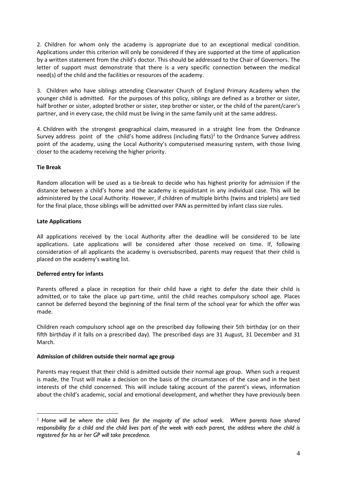2. Children for whom only the academy is appropriate due to an exceptional medical condition. Applications under this criterion will only be considered if they are supported at the time of application by a written statement from the child's doctor. This should be addressed to the Chair of Governors. The letter of support must demonstrate that there is a very specific connection between the medical need(s) of the child and the facilities or resources of the academy.

3. Children who have siblings attending Clearwater Church of England Primary Academy when the younger child is admitted. For the purposes of this policy, siblings are defined as a brother or sister, half brother or sister, adopted brother or sister, step brother or sister, or the child of the parent/carer's partner, and in every case, the child must be living in the same family unit at the same address.

4. Children with the strongest geographical claim, measured in a straight line from the Ordnance Survey address point of the child's home address (including flats)<sup>2</sup> to the Ordnance Survey address point of the academy, using the Local Authority's computerised measuring system, with those living closer to the academy receiving the higher priority.

## **Tie Break**

Random allocation will be used as a tie-break to decide who has highest priority for admission if the distance between a child's home and the academy is equidistant in any individual case. This will be administered by the Local Authority. However, if children of multiple births (twins and triplets) are tied for the final place, those siblings will be admitted over PAN as permitted by infant class size rules.

## **Late Applications**

 $\overline{a}$ 

All applications received by the Local Authority after the deadline will be considered to be late applications. Late applications will be considered after those received on time. If, following consideration of all applicants the academy is oversubscribed, parents may request that their child is placed on the academy's waiting list.

## **Deferred entry for infants**

Parents offered a place in reception for their child have a right to defer the date their child is admitted, or to take the place up part-time, until the child reaches compulsory school age. Places cannot be deferred beyond the beginning of the final term of the school year for which the offer was made.

Children reach compulsory school age on the prescribed day following their 5th birthday (or on their fifth birthday if it falls on a prescribed day). The prescribed days are 31 August, 31 December and 31 March.

### **Admission of children outside their normal age group**

Parents may request that their child is admitted outside their normal age group. When such a request is made, the Trust will make a decision on the basis of the circumstances of the case and in the best interests of the child concerned. This will include taking account of the parent's views, information about the child's academic, social and emotional development, and whether they have previously been

<sup>2</sup> *Home will be where the child lives for the majority of the school week. Where parents have shared responsibility for a child and the child lives part of the week with each parent, the address where the child is registered for his or her GP will take precedence.*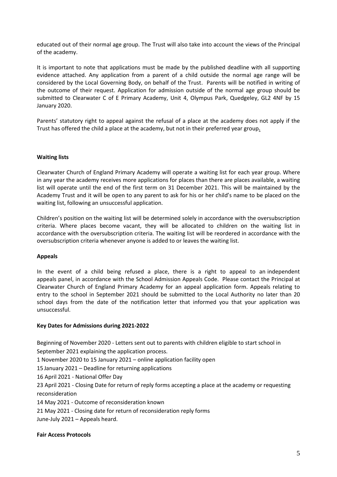educated out of their normal age group. The Trust will also take into account the views of the Principal of the academy.

It is important to note that applications must be made by the published deadline with all supporting evidence attached. Any application from a parent of a child outside the normal age range will be considered by the Local Governing Body, on behalf of the Trust. Parents will be notified in writing of the outcome of their request. Application for admission outside of the normal age group should be submitted to Clearwater C of E Primary Academy, Unit 4, Olympus Park, Quedgeley, GL2 4NF by 15 January 2020.

Parents' statutory right to appeal against the refusal of a place at the academy does not apply if the Trust has offered the child a place at the academy, but not in their preferred year group**.**

## **Waiting lists**

Clearwater Church of England Primary Academy will operate a waiting list for each year group. Where in any year the academy receives more applications for places than there are places available, a waiting list will operate until the end of the first term on 31 December 2021. This will be maintained by the Academy Trust and it will be open to any parent to ask for his or her child's name to be placed on the waiting list, following an unsuccessful application.

Children's position on the waiting list will be determined solely in accordance with the oversubscription criteria. Where places become vacant, they will be allocated to children on the waiting list in accordance with the oversubscription criteria. The waiting list will be reordered in accordance with the oversubscription criteria whenever anyone is added to or leaves the waiting list.

### **Appeals**

In the event of a child being refused a place, there is a right to appeal to an independent appeals panel, in accordance with the School Admission Appeals Code. Please contact the Principal at Clearwater Church of England Primary Academy for an appeal application form. Appeals relating to entry to the school in September 2021 should be submitted to the Local Authority no later than 20 school days from the date of the notification letter that informed you that your application was unsuccessful.

### **Key Dates for Admissions during 2021-2022**

Beginning of November 2020 - Letters sent out to parents with children eligible to start school in September 2021 explaining the application process.

1 November 2020 to 15 January 2021 – online application facility open

15 January 2021 – Deadline for returning applications

16 April 2021 - National Offer Day

23 April 2021 - Closing Date for return of reply forms accepting a place at the academy or requesting reconsideration

14 May 2021 - Outcome of reconsideration known

21 May 2021 - Closing date for return of reconsideration reply forms

June-July 2021 – Appeals heard.

### **Fair Access Protocols**